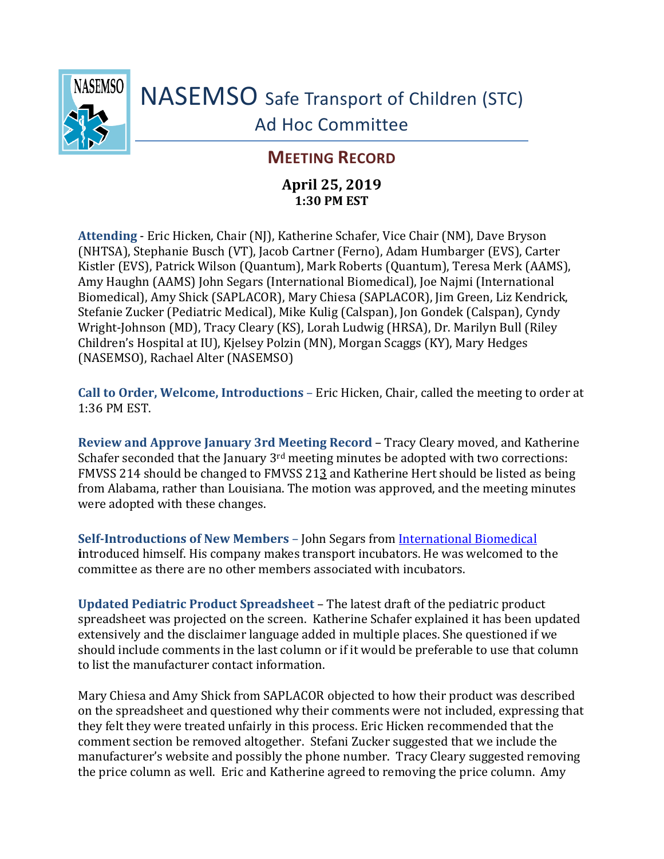

NASEMSO Safe Transport of Children (STC) Ad Hoc Committee

## **MEETING RECORD**

## **April 25, 2019 1:30 PM EST**

**Attending** - Eric Hicken, Chair (NJ), Katherine Schafer, Vice Chair (NM), Dave Bryson (NHTSA), Stephanie Busch (VT), Jacob Cartner (Ferno), Adam Humbarger (EVS), Carter Kistler (EVS), Patrick Wilson (Quantum), Mark Roberts (Quantum), Teresa Merk (AAMS), Amy Haughn (AAMS) John Segars (International Biomedical), Joe Najmi (International Biomedical), Amy Shick (SAPLACOR), Mary Chiesa (SAPLACOR), Jim Green, Liz Kendrick, Stefanie Zucker (Pediatric Medical), Mike Kulig (Calspan), Jon Gondek (Calspan), Cyndy Wright-Johnson (MD), Tracy Cleary (KS), Lorah Ludwig (HRSA), Dr. Marilyn Bull (Riley Children's Hospital at IU), Kjelsey Polzin (MN), Morgan Scaggs (KY), Mary Hedges (NASEMSO), Rachael Alter (NASEMSO)

**Call to Order, Welcome, Introductions** – Eric Hicken, Chair, called the meeting to order at 1:36 PM EST.

**Review and Approve January 3rd Meeting Record** – Tracy Cleary moved, and Katherine Schafer seconded that the January  $3<sup>rd</sup>$  meeting minutes be adopted with two corrections: FMVSS 214 should be changed to FMVSS 213 and Katherine Hert should be listed as being from Alabama, rather than Louisiana. The motion was approved, and the meeting minutes were adopted with these changes.

**Self-Introductions of New Members** – John Segars from [International Biomedical](https://www.int-bio.com/) **i**ntroduced himself. His company makes transport incubators. He was welcomed to the committee as there are no other members associated with incubators.

**Updated Pediatric Product Spreadsheet** – The latest draft of the pediatric product spreadsheet was projected on the screen. Katherine Schafer explained it has been updated extensively and the disclaimer language added in multiple places. She questioned if we should include comments in the last column or if it would be preferable to use that column to list the manufacturer contact information.

Mary Chiesa and Amy Shick from SAPLACOR objected to how their product was described on the spreadsheet and questioned why their comments were not included, expressing that they felt they were treated unfairly in this process. Eric Hicken recommended that the comment section be removed altogether. Stefani Zucker suggested that we include the manufacturer's website and possibly the phone number. Tracy Cleary suggested removing the price column as well. Eric and Katherine agreed to removing the price column. Amy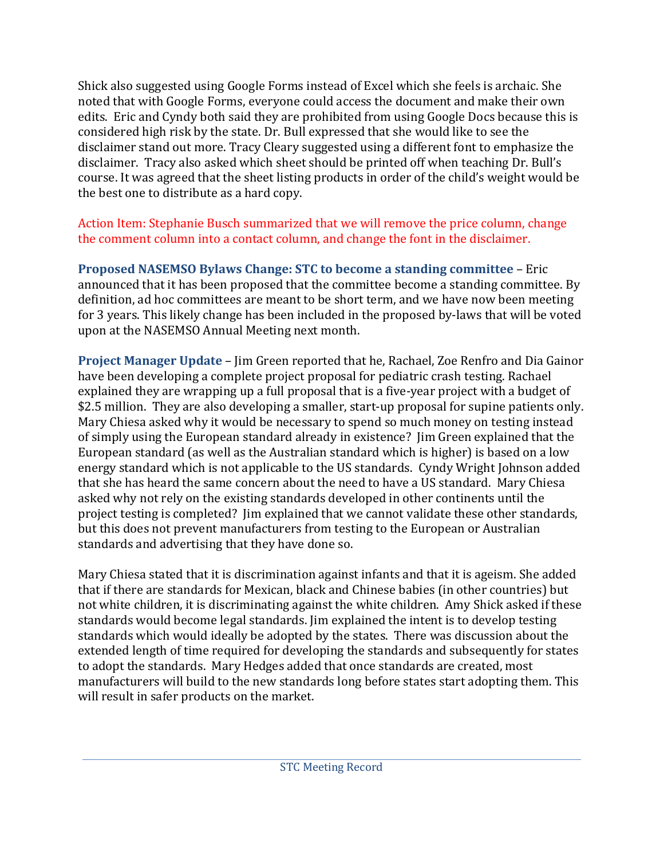Shick also suggested using Google Forms instead of Excel which she feels is archaic. She noted that with Google Forms, everyone could access the document and make their own edits. Eric and Cyndy both said they are prohibited from using Google Docs because this is considered high risk by the state. Dr. Bull expressed that she would like to see the disclaimer stand out more. Tracy Cleary suggested using a different font to emphasize the disclaimer. Tracy also asked which sheet should be printed off when teaching Dr. Bull's course. It was agreed that the sheet listing products in order of the child's weight would be the best one to distribute as a hard copy.

## Action Item: Stephanie Busch summarized that we will remove the price column, change the comment column into a contact column, and change the font in the disclaimer.

**Proposed NASEMSO Bylaws Change: STC to become a standing committee** – Eric announced that it has been proposed that the committee become a standing committee. By definition, ad hoc committees are meant to be short term, and we have now been meeting for 3 years. This likely change has been included in the proposed by-laws that will be voted upon at the NASEMSO Annual Meeting next month.

**Project Manager Update** – Jim Green reported that he, Rachael, Zoe Renfro and Dia Gainor have been developing a complete project proposal for pediatric crash testing. Rachael explained they are wrapping up a full proposal that is a five-year project with a budget of \$2.5 million. They are also developing a smaller, start-up proposal for supine patients only. Mary Chiesa asked why it would be necessary to spend so much money on testing instead of simply using the European standard already in existence? Jim Green explained that the European standard (as well as the Australian standard which is higher) is based on a low energy standard which is not applicable to the US standards. Cyndy Wright Johnson added that she has heard the same concern about the need to have a US standard. Mary Chiesa asked why not rely on the existing standards developed in other continents until the project testing is completed? Jim explained that we cannot validate these other standards, but this does not prevent manufacturers from testing to the European or Australian standards and advertising that they have done so.

Mary Chiesa stated that it is discrimination against infants and that it is ageism. She added that if there are standards for Mexican, black and Chinese babies (in other countries) but not white children, it is discriminating against the white children. Amy Shick asked if these standards would become legal standards. Jim explained the intent is to develop testing standards which would ideally be adopted by the states. There was discussion about the extended length of time required for developing the standards and subsequently for states to adopt the standards. Mary Hedges added that once standards are created, most manufacturers will build to the new standards long before states start adopting them. This will result in safer products on the market.